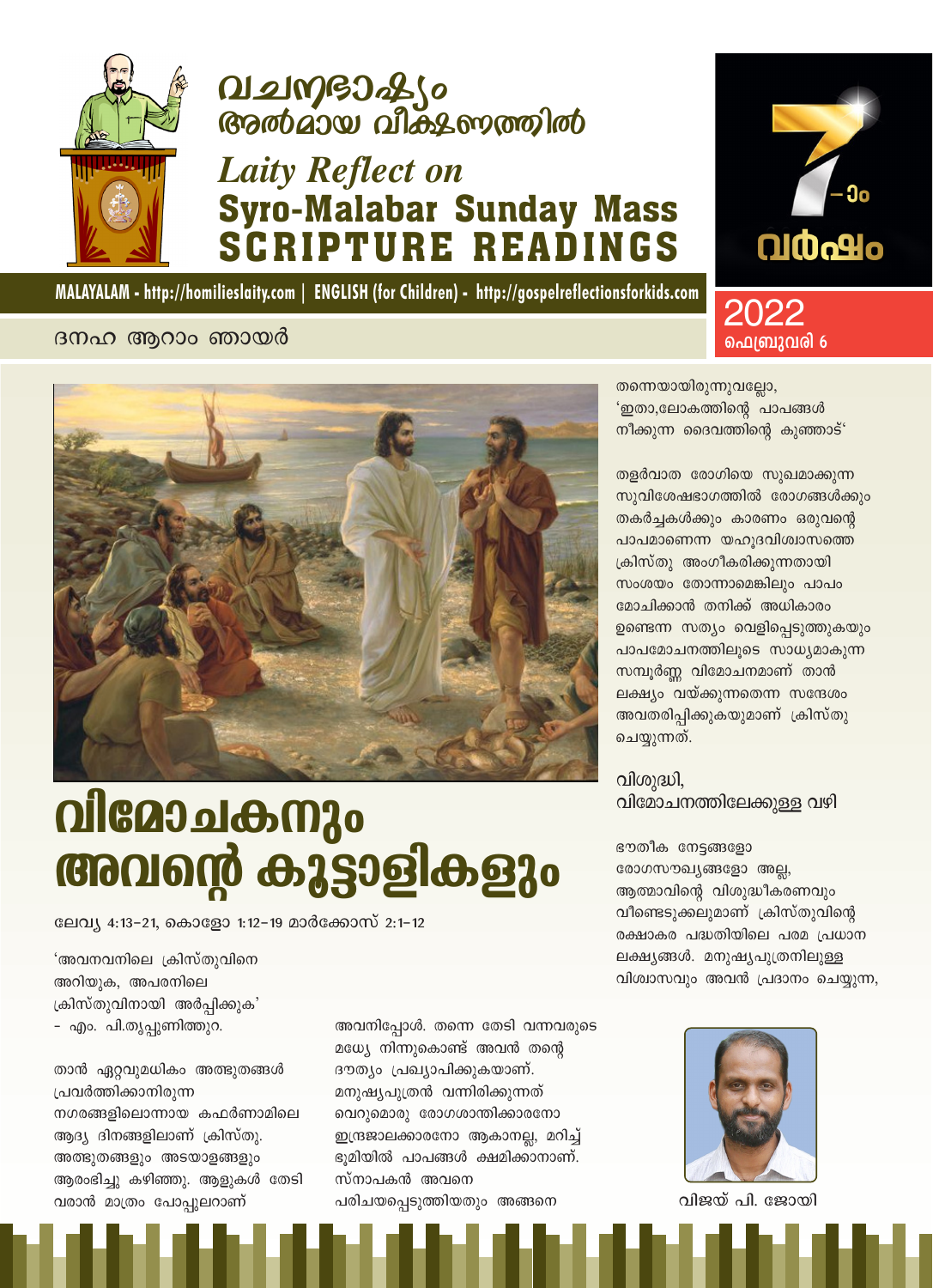

# **வ உடுத்தெடு**<br>முறைவை விக்டீ சையின்

# **Laity Reflect on** Syro-Malabar Sunday Mass<br>SCRIPTURE READINGS



MALAYALAM - http://homilieslaity.com | ENGLISH (for Children) - http://gospelreflectionsforkids.com

#### ദനഹ ആറാം ഞായർ



# <u>വിമോചകനും</u> അവന്റെ കൂട്ടാളികളും

ലേവ്യ 4:13-21, കൊളോ 1:12-19 മാർക്കോസ് 2:1-12

'അവനവനിലെ ക്രിസ്തുവിനെ അറിയുക, അപരനിലെ ക്രിസ്തുവിനായി അർപ്പിക്കുക' - എം. പി.തൃപ്പുണിത്തുറ.

താൻ ഏറ്റവുമധികം അത്ഭുതങ്ങൾ പ്രവർത്തിക്കാനിരുന്ന നഗരങ്ങളിലൊന്നായ കഫർണാമിലെ ആദ്യ ദിനങ്ങളിലാണ് ക്രിസ്തു. അത്ഭുതങ്ങളും അടയാളങ്ങളും ആരംഭിച്ചു കഴിഞ്ഞു. ആളുകൾ തേടി വരാൻ മാത്രം പോപ്പുലറാണ്

അവനിപ്പോൾ. തന്നെ തേടി വന്നവരുടെ മധ്യേ നിന്നുകൊണ്ട് അവൻ തന്റെ ദൗത്യം പ്രഖ്യാപിക്കുകയാണ്. മനുഷ്യപുത്രൻ വന്നിരിക്കുന്നത് വെറുമൊരു രോഗശാന്തിക്കാരനോ ഇന്ദ്രജാലക്കാരനോ ആകാനല്ല, മറിച്ച് ഭൂമിയിൽ പാപങ്ങൾ ക്ഷമിക്കാനാണ്. സ്നാപകൻ അവനെ പരിചയപ്പെടുത്തിയതും അങ്ങനെ

തന്നെയായിരുന്നുവല്ലോ, 'ഇതാ,ലോകത്തിന്റെ പാപങ്ങൾ നീക്കുന്ന ദൈവത്തിന്റെ കുഞ്ഞാട്'

2022

ഫെബ്രുവരി 6

തളർവാത രോഗിയെ സുഖമാക്കുന്ന സുവിശേഷഭാഗത്തിൽ രോഗങ്ങൾക്കും തകർച്ചകൾക്കും കാരണം ഒരുവന്റെ പാപമാണെന്ന യഹുദവിശ്വാസത്തെ ക്രിസ്തു അംഗീകരിക്കുന്നതായി സംശയം തോന്നാമെങ്കിലും പാപം മോചിക്കാൻ തനിക്ക് അധികാരം ഉണ്ടെന്ന സത്യം വെളിപ്പെടുത്തുകയും പാപമോചനത്തിലൂടെ സാധ്യമാകുന്ന സമ്പൂർണ്ണ വിമോചനമാണ് താൻ ലക്ഷ്യം വയ്ക്കുന്നതെന്ന സന്ദേശം അവതരിപ്പിക്കുകയുമാണ് ക്രിസ്തു ചെയ്യുന്നത്.

#### വിശുദ്ധി, വിമോചനത്തിലേക്കുള്ള വഴി

ഭൗതീക നേട്ടങ്ങളോ രോഗസൗഖ്യങ്ങളോ അല്ല, ആത്മാവിന്റെ വിശുദ്ധീകരണവും വീണ്ടെടുക്കലുമാണ് ക്രിസ്തുവിന്റെ രക്ഷാകര പദ്ധതിയിലെ പരമ പ്രധാന ലക്ഷ്യങ്ങൾ. മനുഷ്യപുത്രനിലുള്ള വിശ്വാസവും അവൻ പ്രദാനം ചെയ്യുന്ന,



വിജയ് പി. ജോയി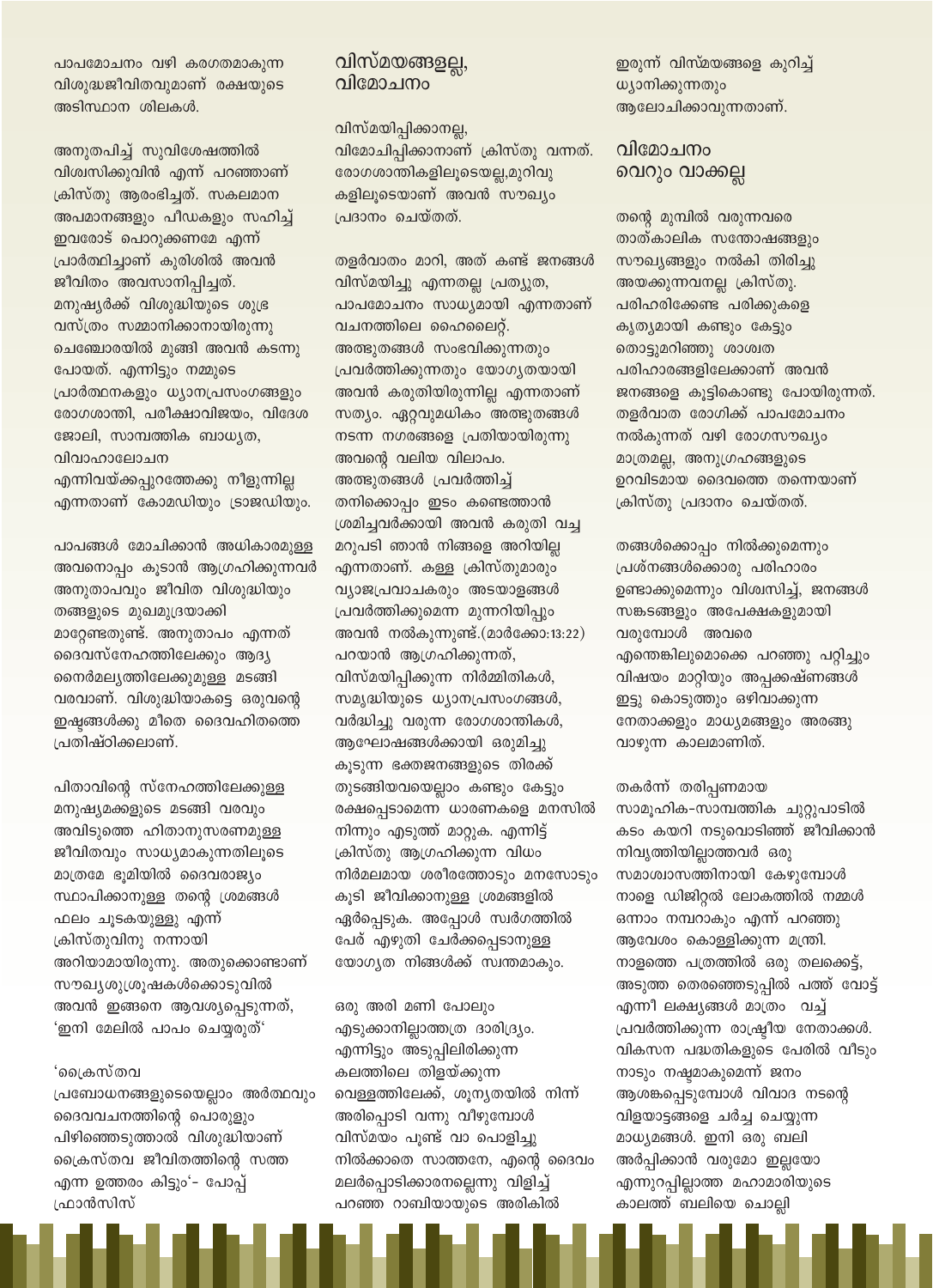പാപമോചനം വഴി കരഗതമാകുന്ന വിശുദ്ധജീവിതവുമാണ് രക്ഷയുടെ അടിസ്ഥാന ശിലകൾ.

അനുതപിച്ച് സുവിശേഷത്തിൽ വിശ്വസിക്കുവിൻ എന്ന് പറഞ്ഞാണ് ക്രിസ്തു ആരംഭിച്ചത്. സകലമാന അപമാനങ്ങളും പീഡകളും സഹിച്ച് ഇവരോട് പൊറുക്കണമേ എന്ന് പ്രാർത്ഥിച്ചാണ് കുരിശിൽ അവൻ ജീവിതം അവസാനിപ്പിച്ചത്. മനുഷ്യർക്ക് വിശുദ്ധിയുടെ ശുഭ്ര വസ്ത്രം സമ്മാനിക്കാനായിരുന്നു ചെഞ്ചോരയിൽ മുങ്ങി അവൻ കടന്നു പോയത്. എന്നിട്ടും നമ്മുടെ പ്രാർത്ഥനകളും ധ്യാനപ്രസംഗങ്ങളും രോഗശാന്തി, പരീക്ഷാവിജയം, വിദേശ ജോലി, സാമ്പത്തിക ബാധ്യത, വിവാഹാലോചന

എന്നതാണ് കോമഡിയും ട്രാജഡിയും.

എന്നിവയ്ക്കപ്പുറത്തേക്കു നീളുന്നില്ല

പാപങ്ങൾ മോചിക്കാൻ അധികാരമുള്ള

രോഗശാന്തികളിലൂടെയല്ല,മുറിവു കളിലുടെയാണ് അവൻ സൗഖ്യം പ്രദാനം ചെയ്തത്.

വിസ്മയങ്ങളല്ല,

വിമോചനം

തളർവാതം മാറി, അത് കണ്ട് ജനങ്ങൾ വിസ്മയിച്ചു എന്നതല്ല പ്രത്യുത, പാപമോചനം സാധ്യമായി എന്നതാണ് വചനത്തിലെ ഹൈലൈറ്റ്. അത്ഭുതങ്ങൾ സംഭവിക്കുന്നതും പ്രവർത്തിക്കുന്നതും യോഗൃതയായി അവൻ കരുതിയിരുന്നില്ല എന്നതാണ് സത്യം. ഏറ്റവുമധികം അത്ഭുതങ്ങൾ നടന്ന നഗരങ്ങളെ പ്രതിയായിരുന്നു അവന്റെ വലിയ വിലാപം. അത്ഭുതങ്ങൾ പ്രവർത്തിച്ച് തനിക്കൊപ്പം ഇടം കണ്ടെത്താൻ ശ്രമിച്ചവർക്കായി അവൻ കരുതി വച്ച മറുപടി ഞാൻ നിങ്ങളെ അറിയില്ല എന്നതാണ്. കള്ള ക്രിസ്തുമാരും വ്യാജപ്രവാചകരും അടയാളങ്ങൾ പ്രവർത്തിക്കുമെന്ന മുന്നറിയിപ്പും അവൻ നൽകുന്നുണ്ട്.(മാർക്കോ:13:22) പറയാൻ ആഗ്രഹിക്കുന്നത്, വിസ്മയിപ്പിക്കുന്ന നിർമ്മിതികൾ, സമൃദ്ധിയുടെ ധ്യാനപ്രസംഗങ്ങൾ, വർദ്ധിച്ചു വരുന്ന രോഗശാന്തികൾ, ആഘോഷങ്ങൾക്കായി ഒരുമിച്ചു കൂടുന്ന ഭക്തജനങ്ങളുടെ തിരക്ക് തുടങ്ങിയവയെല്ലാം കണ്ടും കേട്ടും രക്ഷപ്പെടാമെന്ന ധാരണകളെ മനസിൽ നിന്നും എടുത്ത് മാറ്റുക. എന്നിട്ട് ക്രിസ്തു ആഗ്രഹിക്കുന്ന വിധം നിർമലമായ ശരീരത്തോടും മനസോടും കൂടി ജീവിക്കാനുള്ള ശ്രമങ്ങളിൽ ഏർപ്പെടുക. അപ്പോൾ സ്വർഗത്തിൽ പേര് എഴുതി ചേർക്കപ്പെടാനുള്ള

വിസ്മയിപ്പിക്കാനല്ല, വിമോചിപ്പിക്കാനാണ് ക്രിസ്തു വന്നത്.

തന്റെ മുമ്പിൽ വരുന്നവരെ താത്കാലിക സന്തോഷങ്ങളും സൗഖ്യങ്ങളും നൽകി തിരിച്ചു അയക്കുന്നവനല്ല ക്രിസ്തു. പരിഹരിക്കേണ്ട പരിക്കുകളെ കൃത്യമായി കണ്ടും കേട്ടും തൊട്ടുമറിഞ്ഞു ശാശ്വത പരിഹാരങ്ങളിലേക്കാണ് അവൻ ജനങ്ങളെ കുട്ടികൊണ്ടു പോയിരുന്നത്. തളർവാത രോഗിക്ക് പാപമോചനം നൽകുന്നത് വഴി രോഗസൗഖ്യം മാത്രമല്ല, അനുഗ്രഹങ്ങളുടെ ഉറവിടമായ ദൈവത്തെ തന്നെയാണ് ക്രിസ്തു പ്രദാനം ചെയ്തത്.

ഇരുന്ന് വിസ്മയങ്ങളെ കുറിച്ച്

ആലോചിക്കാവുന്നതാണ്.

ധ്യാനിക്കുന്നതും

വിമോചനം

വെറും വാക്കല്ല

തകർന്ന് തരിപ്പണമായ സാമൂഹിക-സാമ്പത്തിക ചുറ്റുപാടിൽ കടം കയറി നടുവൊടിഞ്ഞ് ജീവിക്കാൻ നിവൃത്തിയില്ലാത്തവർ ഒരു സമാശ്വാസത്തിനായി കേഴുമ്പോൾ നാളെ ഡിജിറ്റൽ ലോകത്തിൽ നമ്മൾ ഒന്നാം നമ്പറാകും എന്ന് പറഞ്ഞു ആവേശം കൊള്ളിക്കുന്ന മന്ത്രി. നാളത്തെ പത്രത്തിൽ ഒരു തലക്കെട്ട്, അടുത്ത തെരഞ്ഞെടുപ്പിൽ പത്ത് വോട്ട്

കാലത്ത് ബലിയെ ചൊല്ലി

തങ്ങൾക്കൊപ്പം നിൽക്കുമെന്നും പ്രശ്നങ്ങൾക്കൊരു പരിഹാരം ഉണ്ടാക്കുമെന്നും വിശ്വസിച്ച്, ജനങ്ങൾ സങ്കടങ്ങളും അപേക്ഷകളുമായി വരുമ്പോൾ അവരെ എന്തെങ്കിലുമൊക്കെ പറഞ്ഞു പറ്റിച്ചും വിഷയം മാറ്റിയും അപ്പക്കഷ്ണങ്ങൾ ഇട്ടു കൊടുത്തും ഒഴിവാക്കുന്ന നേതാക്കളും മാധ്യമങ്ങളും അരങ്ങു വാഴുന്ന കാലമാണിത്.

അവനൊപ്പം കൂടാൻ ആഗ്രഹിക്കുന്നവർ അനുതാപവും ജീവിത വിശുദ്ധിയും തങ്ങളുടെ മുഖമുദ്രയാക്കി

മാറ്റേണ്ടതുണ്ട്. അനുതാപം എന്നത് ദൈവസ്നേഹത്തിലേക്കും ആദ്യ നൈർമല്യത്തിലേക്കുമുള്ള മടങ്ങി വരവാണ്. വിശുദ്ധിയാകട്ടെ ഒരുവന്റെ ഇഷ്ടങ്ങൾക്കു മീതെ ദൈവഹിതത്തെ പ്രതിഷ്ഠിക്കലാണ്. പിതാവിന്റെ സ്നേഹത്തിലേക്കുള്ള മനുഷ്യമക്കളുടെ മടങ്ങി വരവും

അവിടുത്തെ ഹിതാനുസരണമുള്ള

ജീവിതവും സാധ്യമാകുന്നതിലൂടെ

സ്ഥാപിക്കാനുള്ള തന്റെ ശ്രമങ്ങൾ

സൗഖ്യശുഷ്രകൾക്കൊടുവിൽ അവൻ ഇങ്ങനെ ആവശ്യപ്പെടുന്നത്,

'ഇനി മേലിൽ പാപം ചെയ്യരുത്'

അറിയാമായിരുന്നു. അതുക്കൊണ്ടാണ്

മാത്രമേ ഭൂമിയിൽ ദൈവരാജ്യം

ഫലം ചൂടകയുള്ളു എന്ന്

ക്രിസ്തുവിനു നന്നായി

യോഗ്യത നിങ്ങൾക്ക് സ്വന്തമാകും. എന്നീ ലക്ഷ്യങ്ങൾ മാത്രം വച്ച് പ്രവർത്തിക്കുന്ന രാഷ്ട്രീയ നേതാക്കൾ. വികസന പദ്ധതികളുടെ പേരിൽ വീടും നാടും നഷ്യമാകുമെന്ന് ജനം ആശങ്കപ്പെടുമ്പോൾ വിവാദ നടന്റെ വിളയാട്ടങ്ങളെ ചർച്ച ചെയ്യുന്ന മാധ്യമങ്ങൾ. ഇനി ഒരു ബലി അർപ്പിക്കാൻ വരുമോ ഇല്ലയോ എന്നുറപ്പില്ലാത്ത മഹാമാരിയുടെ

ഒരു അരി മണി പോലും എടുക്കാനില്ലാത്തത്ര ദാരിദ്ര്യം. എന്നിട്ടും അടുപ്പിലിരിക്കുന്ന കലത്തിലെ തിളയ്ക്കുന്ന വെള്ളത്തിലേക്ക്, ശൂന്യതയിൽ നിന്ന് അരിപ്പൊടി വന്നു വീഴുമ്പോൾ വിസ്മയം പൂണ്ട് വാ പൊളിച്ചു നിൽക്കാതെ സാത്തനേ, എന്റെ ദൈവം മലർപ്പൊടിക്കാരനല്ലെന്നു വിളിച്ച് പറഞ്ഞ റാബിയായുടെ അരികിൽ

'പ്രൈസ്തവ പ്രബോധനങ്ങളുടെയെല്ലാം അർത്ഥവും ദൈവവചനത്തിന്റെ പൊരുളും പിഴിഞ്ഞെടുത്താൽ വിശുദ്ധിയാണ് ക്രൈസ്തവ ജീവിതത്തിന്റെ സത്ത എന്ന ഉത്തരം കിട്ടും'- പോപ്പ് ഫാൻസിസ്